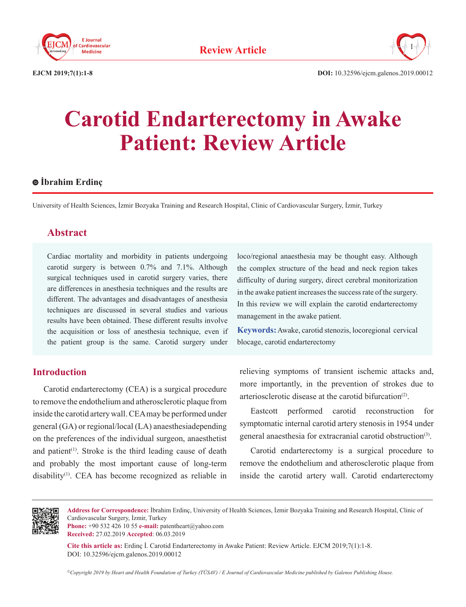



**EJCM 2019;7(1):1-8 DOI:** 10.32596/ejcm.galenos.2019.00012

# **Carotid Endarterectomy in Awake Patient: Review Article**

## **İbrahim Erdinç**

University of Health Sciences, İzmir Bozyaka Training and Research Hospital, Clinic of Cardiovascular Surgery, İzmir, Turkey

# **Abstract**

Cardiac mortality and morbidity in patients undergoing carotid surgery is between 0.7% and 7.1%. Although surgical techniques used in carotid surgery varies, there are differences in anesthesia techniques and the results are different. The advantages and disadvantages of anesthesia techniques are discussed in several studies and various results have been obtained. These different results involve the acquisition or loss of anesthesia technique, even if the patient group is the same. Carotid surgery under

## **Introduction**

Carotid endarterectomy (CEA) is a surgical procedure to remove the endothelium and atherosclerotic plaque from inside the carotid artery wall. CEA may be performed under general (GA) or regional/local (LA) anaesthesiadepending on the preferences of the individual surgeon, anaesthetist and patient<sup> $(1)$ </sup>. Stroke is the third leading cause of death and probably the most important cause of long-term disability<sup>(1)</sup>. CEA has become recognized as reliable in

loco/regional anaesthesia may be thought easy. Although the complex structure of the head and neck region takes difficulty of during surgery, direct cerebral monitorization in the awake patient increases the success rate of the surgery. In this review we will explain the carotid endarterectomy management in the awake patient.

**Keywords:** Awake, carotid stenozis, locoregional cervical blocage, carotid endarterectomy

relieving symptoms of transient ischemic attacks and, more importantly, in the prevention of strokes due to arteriosclerotic disease at the carotid bifurcation<sup>(2)</sup>.

Eastcott performed carotid reconstruction for symptomatic internal carotid artery stenosis in 1954 under general anaesthesia for extracranial carotid obstruction<sup>(3)</sup>.

Carotid endarterectomy is a surgical procedure to remove the endothelium and atherosclerotic plaque from inside the carotid artery wall. Carotid endarterectomy



**Address for Correspondence:** İbrahim Erdinç, University of Health Sciences, İzmir Bozyaka Training and Research Hospital, Clinic of Cardiovascular Surgery, İzmir, Turkey

**Phone:** +90 532 426 10 55 **e-mail:** patentheart@yahoo.com **Received:** 27.02.2019 **Accepted**: 06.03.2019

**Cite this article as:** Erdinç İ. Carotid Endarterectomy in Awake Patient: Review Article. EJCM 2019;7(1):1-8. DOI: 10.32596/ejcm.galenos.2019.00012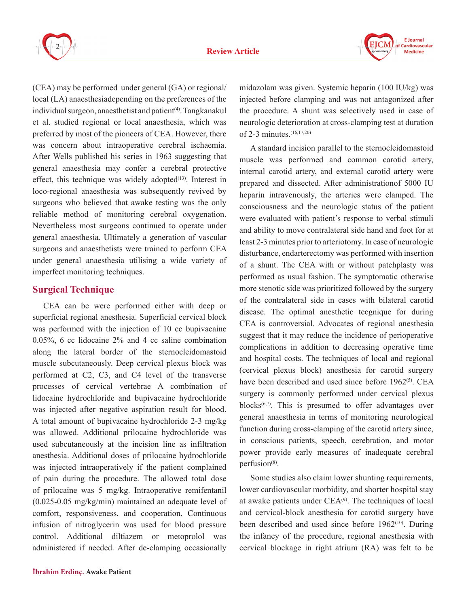



(CEA) may be performed under general (GA) or regional/ local (LA) anaesthesiadepending on the preferences of the individual surgeon, anaesthetist and patient<sup>(4)</sup>. Tangkanakul et al. studied regional or local anaesthesia, which was preferred by most of the pioneers of CEA. However, there was concern about intraoperative cerebral ischaemia. After Wells published his series in 1963 suggesting that general anaesthesia may confer a cerebral protective effect, this technique was widely adopted $(13)$ . Interest in loco-regional anaesthesia was subsequently revived by surgeons who believed that awake testing was the only reliable method of monitoring cerebral oxygenation. Nevertheless most surgeons continued to operate under general anaesthesia. Ultimately a generation of vascular surgeons and anaesthetists were trained to perform CEA under general anaesthesia utilising a wide variety of imperfect monitoring techniques.

### **Surgical Technique**

CEA can be were performed either with deep or superficial regional anesthesia. Superficial cervical block was performed with the injection of 10 cc bupivacaine 0.05%, 6 cc lidocaine 2% and 4 cc saline combination along the lateral border of the sternocleidomastoid muscle subcutaneously. Deep cervical plexus block was performed at C2, C3, and C4 level of the transverse processes of cervical vertebrae A combination of lidocaine hydrochloride and bupivacaine hydrochloride was injected after negative aspiration result for blood. A total amount of bupivacaine hydrochloride 2-3 mg/kg was allowed. Additional prilocaine hydrochloride was used subcutaneously at the incision line as infiltration anesthesia. Additional doses of prilocaine hydrochloride was injected intraoperatively if the patient complained of pain during the procedure. The allowed total dose of prilocaine was 5 mg/kg. Intraoperative remifentanil (0.025-0.05 mg/kg/min) maintained an adequate level of comfort, responsiveness, and cooperation. Continuous infusion of nitroglycerin was used for blood pressure control. Additional diltiazem or metoprolol was administered if needed. After de-clamping occasionally

midazolam was given. Systemic heparin (100 IU/kg) was injected before clamping and was not antagonized after the procedure. A shunt was selectively used in case of neurologic deterioration at cross-clamping test at duration of 2-3 minutes.<sup>(16,17,20)</sup>

A standard incision parallel to the sternocleidomastoid muscle was performed and common carotid artery, internal carotid artery, and external carotid artery were prepared and dissected. After administrationof 5000 IU heparin intravenously, the arteries were clamped. The consciousness and the neurologic status of the patient were evaluated with patient's response to verbal stimuli and ability to move contralateral side hand and foot for at least 2-3 minutes prior to arteriotomy. In case of neurologic disturbance, endarterectomy was performed with insertion of a shunt. The CEA with or without patchplasty was performed as usual fashion. The symptomatic otherwise more stenotic side was prioritized followed by the surgery of the contralateral side in cases with bilateral carotid disease. The optimal anesthetic tecgnique for during CEA is controversial. Advocates of regional anesthesia suggest that it may reduce the incidence of perioperative complications in addition to decreasing operative time and hospital costs. The techniques of local and regional (cervical plexus block) anesthesia for carotid surgery have been described and used since before 1962<sup>(5)</sup>. CEA surgery is commonly performed under cervical plexus blocks $(6,7)$ . This is presumed to offer advantages over general anaesthesia in terms of monitoring neurological function during cross-clamping of the carotid artery since, in conscious patients, speech, cerebration, and motor power provide early measures of inadequate cerebral perfusion<sup>(8)</sup>.

Some studies also claim lower shunting requirements, lower cardiovascular morbidity, and shorter hospital stay at awake patients under  $CEA<sup>(9)</sup>$ . The techniques of local and cervical-block anesthesia for carotid surgery have been described and used since before  $1962^{(10)}$ . During the infancy of the procedure, regional anesthesia with cervical blockage in right atrium (RA) was felt to be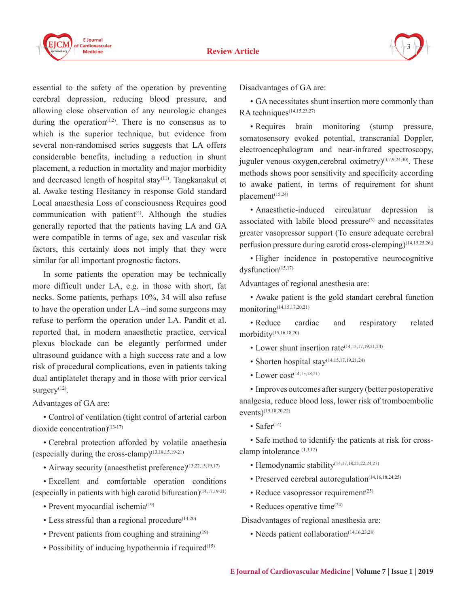

essential to the safety of the operation by preventing cerebral depression, reducing blood pressure, and allowing close observation of any neurologic changes during the operation<sup> $(1,2)$ </sup>. There is no consensus as to which is the superior technique, but evidence from several non-randomised series suggests that LA offers considerable benefits, including a reduction in shunt placement, a reduction in mortality and major morbidity and decreased length of hospital stay<sup>(11)</sup>. Tangkanakul et al. Awake testing Hesitancy in response Gold standard Local anaesthesia Loss of consciousness Requires good communication with patient $(4)$ . Although the studies generally reported that the patients having LA and GA were compatible in terms of age, sex and vascular risk factors, this certainly does not imply that they were similar for all important prognostic factors.

In some patients the operation may be technically more difficult under LA, e.g. in those with short, fat necks. Some patients, perhaps 10%, 34 will also refuse to have the operation under  $LA \sim$ ind some surgeons may refuse to perform the operation under LA. Pandit et al. reported that, in modern anaesthetic practice, cervical plexus blockade can be elegantly performed under ultrasound guidance with a high success rate and a low risk of procedural complications, even in patients taking dual antiplatelet therapy and in those with prior cervical surgery $(12)$ .

Advantages of GA are:

• Control of ventilation (tight control of arterial carbon dioxide concentration)<sup>(13-17)</sup>

• Cerebral protection afforded by volatile anaethesia (especially during the cross-clamp)(13,18,15,19-21)

• Airway security (anaesthetist preference)<sup>(13,22,15,19,17)</sup>

• Excellent and comfortable operation conditions (especially in patients with high carotid bifurcation)(14,17,19-21)

- Prevent myocardial ischemia<sup>(19)</sup>
- Less stressful than a regional procedure<sup>(14,20)</sup>
- Prevent patients from coughing and straining $(19)$
- Possibility of inducing hypothermia if required<sup>(15)</sup>

Disadvantages of GA are:

• GA necessitates shunt insertion more commonly than RA techniques<sup>(14,15,23,27)</sup>

3

• Requires brain monitoring (stump pressure, somatosensory evoked potential, transcranial Doppler, electroencephalogram and near-infrared spectroscopy, juguler venous oxygen, cerebral oximetry) $(3,7,9,24,30)$ . These methods shows poor sensitivity and specificity according to awake patient, in terms of requirement for shunt placement(15,24)

• Anaesthetic-induced circulatuar depression is associated with labile blood pressure $(3)$  and necessitates greater vasopressor support (To ensure adequate cerebral perfusion pressure during carotid cross-clemping)(14,15,25,26,)

• Higher incidence in postoperative neurocognitive dysfunction<sup>(15,17)</sup>

Advantages of regional anesthesia are:

• Awake patient is the gold standart cerebral function monitoring(14,15,17,20,21)

• Reduce cardiac and respiratory related morbidity(15,16,18,20)

- Lower shunt insertion rate<sup>(14,15,17,19,21,24)</sup>
- Shorten hospital stay<sup>(14,15,17,19,21,24)</sup>
- Lower  $cost^{(14,15,18,21)}$

• Improves outcomes after surgery (better postoperative analgesia, reduce blood loss, lower risk of tromboembolic events)(15,18,20,22)

• Safe $r$ <sup>(14)</sup>

• Safe method to identify the patients at risk for crossclamp intolerance (1,3,12)

- Hemodynamic stability(14,17,18,21,22,24,27)
- Preserved cerebral autoregulation(14,16,18,24,25)
- Reduce vasopressor requirement $(25)$
- Reduces operative time<sup>(24)</sup>

Disadvantages of regional anesthesia are:

• Needs patient collaboration<sup>(14,16,23,28)</sup>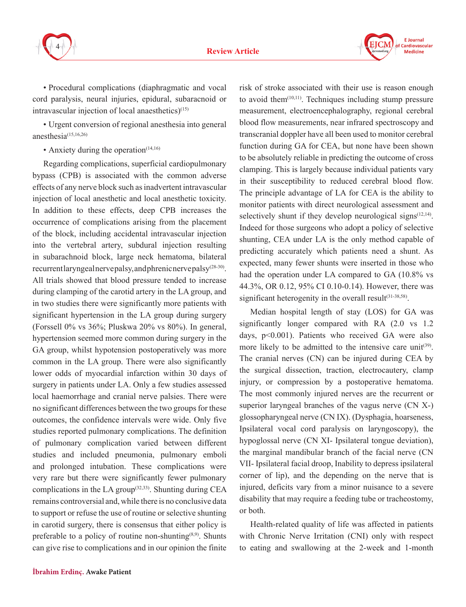



• Procedural complications (diaphragmatic and vocal cord paralysis, neural injuries, epidural, subaracnoid or intravascular injection of local anaesthetics $(15)$ 

• Urgent conversion of regional anesthesia into general anesthesia $(15,16,26)$ 

• Anxiety during the operation $(14,16)$ 

Regarding complications, superficial cardiopulmonary bypass (CPB) is associated with the common adverse effects of any nerve block such as inadvertent intravascular injection of local anesthetic and local anesthetic toxicity. In addition to these effects, deep CPB increases the occurrence of complications arising from the placement of the block, including accidental intravascular injection into the vertebral artery, subdural injection resulting in subarachnoid block, large neck hematoma, bilateral recurrent laryngeal nerve palsy, and phrenic nerve palsy(28-30). All trials showed that blood pressure tended to increase during clamping of the carotid artery in the LA group, and in two studies there were significantly more patients with significant hypertension in the LA group during surgery (Forssell 0% vs 36%; Pluskwa 20% vs 80%). In general, hypertension seemed more common during surgery in the GA group, whilst hypotension postoperatively was more common in the LA group. There were also significantly lower odds of myocardial infarction within 30 days of surgery in patients under LA. Only a few studies assessed local haemorrhage and cranial nerve palsies. There were no significant differences between the two groups for these outcomes, the confidence intervals were wide. Only five studies reported pulmonary complications. The definition of pulmonary complication varied between different studies and included pneumonia, pulmonary emboli and prolonged intubation. These complications were very rare but there were significantly fewer pulmonary complications in the LA group<sup>(32,33)</sup>. Shunting during CEA remains controversial and, while there is no conclusive data to support or refuse the use of routine or selective shunting in carotid surgery, there is consensus that either policy is preferable to a policy of routine non-shunting $(8,9)$ . Shunts can give rise to complications and in our opinion the finite

risk of stroke associated with their use is reason enough to avoid them $(10,11)$ . Techniques including stump pressure measurement, electroencephalography, regional cerebral blood flow measurements, near infrared spectroscopy and transcranial doppler have all been used to monitor cerebral function during GA for CEA, but none have been shown to be absolutely reliable in predicting the outcome of cross clamping. This is largely because individual patients vary in their susceptibility to reduced cerebral blood flow. The principle advantage of LA for CEA is the ability to monitor patients with direct neurological assessment and selectively shunt if they develop neurological signs $(12,14)$ . Indeed for those surgeons who adopt a policy of selective shunting, CEA under LA is the only method capable of predicting accurately which patients need a shunt. As expected, many fewer shunts were inserted in those who had the operation under LA compared to GA (10.8% vs 44.3%, OR 0.12, 95% CI 0.10-0.14). However, there was significant heterogenity in the overall result $(31-38,58)$ .

Median hospital length of stay (LOS) for GA was significantly longer compared with RA (2.0 vs 1.2 days, p<0.001). Patients who received GA were also more likely to be admitted to the intensive care unit<sup>(39)</sup>. The cranial nerves (CN) can be injured during CEA by the surgical dissection, traction, electrocautery, clamp injury, or compression by a postoperative hematoma. The most commonly injured nerves are the recurrent or superior laryngeal branches of the vagus nerve (CN X-) glossopharyngeal nerve (CN IX). (Dysphagia, hoarseness, Ipsilateral vocal cord paralysis on laryngoscopy), the hypoglossal nerve (CN XI- Ipsilateral tongue deviation), the marginal mandibular branch of the facial nerve (CN VII- Ipsilateral facial droop, Inability to depress ipsilateral corner of lip), and the depending on the nerve that is injured, deficits vary from a minor nuisance to a severe disability that may require a feeding tube or tracheostomy, or both.

Health-related quality of life was affected in patients with Chronic Nerve Irritation (CNI) only with respect to eating and swallowing at the 2-week and 1-month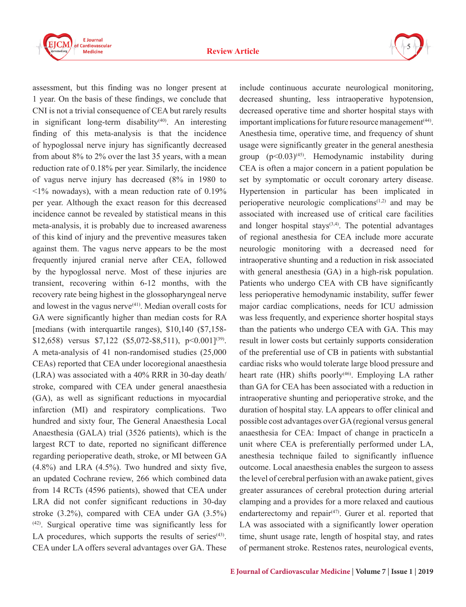

5

assessment, but this finding was no longer present at 1 year. On the basis of these findings, we conclude that CNI is not a trivial consequence of CEA but rarely results in significant long-term disability<sup>(40)</sup>. An interesting finding of this meta-analysis is that the incidence of hypoglossal nerve injury has significantly decreased from about 8% to 2% over the last 35 years, with a mean reduction rate of 0.18% per year. Similarly, the incidence of vagus nerve injury has decreased (8% in 1980 to  $\leq$ 1% nowadays), with a mean reduction rate of 0.19% per year. Although the exact reason for this decreased incidence cannot be revealed by statistical means in this meta-analysis, it is probably due to increased awareness of this kind of injury and the preventive measures taken against them. The vagus nerve appears to be the most frequently injured cranial nerve after CEA, followed by the hypoglossal nerve. Most of these injuries are transient, recovering within 6-12 months, with the recovery rate being highest in the glossopharyngeal nerve and lowest in the vagus nerve $(41)$ . Median overall costs for GA were significantly higher than median costs for RA [medians (with interquartile ranges), \$10,140 (\$7,158- \$12,658) versus \$7,122 (\$5,072-\$8,511),  $p \le 0.001$ <sup>[39]</sup>. A meta-analysis of 41 non-randomised studies (25,000 CEAs) reported that CEA under locoregional anaesthesia (LRA) was associated with a 40% RRR in 30-day death/ stroke, compared with CEA under general anaesthesia (GA), as well as significant reductions in myocardial infarction (MI) and respiratory complications. Two hundred and sixty four, The General Anaesthesia Local Anaesthesia (GALA) trial (3526 patients), which is the largest RCT to date, reported no significant difference regarding perioperative death, stroke, or MI between GA  $(4.8\%)$  and LRA  $(4.5\%)$ . Two hundred and sixty five, an updated Cochrane review, 266 which combined data from 14 RCTs (4596 patients), showed that CEA under LRA did not confer significant reductions in 30-day stroke (3.2%), compared with CEA under GA (3.5%) (42). Surgical operative time was significantly less for LA procedures, which supports the results of series $(43)$ . CEA under LA offers several advantages over GA. These

include continuous accurate neurological monitoring, decreased shunting, less intraoperative hypotension, decreased operative time and shorter hospital stays with important implications for future resource management(44). Anesthesia time, operative time, and frequency of shunt usage were significantly greater in the general anesthesia group  $(p<0.03)^{(45)}$ . Hemodynamic instability during CEA is often a major concern in a patient population be set by symptomatic or occult coronary artery disease. Hypertension in particular has been implicated in perioperative neurologic complications<sup> $(1,2)$ </sup> and may be associated with increased use of critical care facilities and longer hospital stays $(3,4)$ . The potential advantages of regional anesthesia for CEA include more accurate neurologic monitoring with a decreased need for intraoperative shunting and a reduction in risk associated with general anesthesia (GA) in a high-risk population. Patients who undergo CEA with CB have significantly less perioperative hemodynamic instability, suffer fewer major cardiac complications, needs for ICU admission was less frequently, and experience shorter hospital stays than the patients who undergo CEA with GA. This may result in lower costs but certainly supports consideration of the preferential use of CB in patients with substantial cardiac risks who would tolerate large blood pressure and heart rate  $(HR)$  shifts poorly<sup>(46)</sup>. Employing LA rather than GA for CEA has been associated with a reduction in intraoperative shunting and perioperative stroke, and the duration of hospital stay. LA appears to offer clinical and possible cost advantages over GA (regional versus general anaesthesia for CEA: Impact of change in practiceIn a unit where CEA is preferentially performed under LA, anesthesia technique failed to significantly influence outcome. Local anaesthesia enables the surgeon to assess the level of cerebral perfusion with an awake patient, gives greater assurances of cerebral protection during arterial clamping and a provides for a more relaxed and cautious endarterectomy and repair<sup> $(47)$ </sup>. Gurer et al. reported that LA was associated with a significantly lower operation time, shunt usage rate, length of hospital stay, and rates of permanent stroke. Restenos rates, neurological events,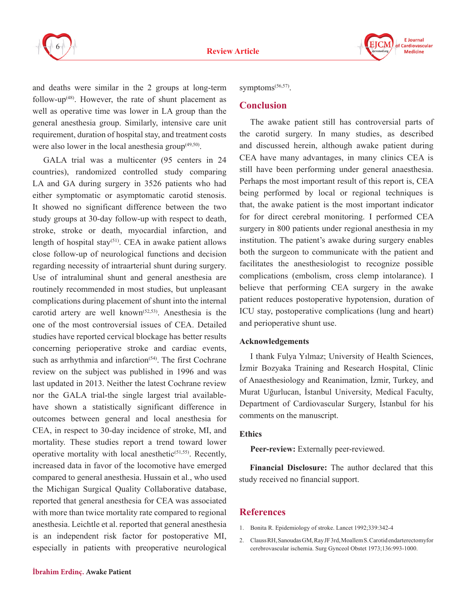



and deaths were similar in the 2 groups at long-term follow-up $(48)$ . However, the rate of shunt placement as well as operative time was lower in LA group than the general anesthesia group. Similarly, intensive care unit requirement, duration of hospital stay, and treatment costs were also lower in the local anesthesia group $(49,50)$ .

GALA trial was a multicenter (95 centers in 24 countries), randomized controlled study comparing LA and GA during surgery in 3526 patients who had either symptomatic or asymptomatic carotid stenosis. It showed no significant difference between the two study groups at 30-day follow-up with respect to death, stroke, stroke or death, myocardial infarction, and length of hospital stay<sup>(51)</sup>. CEA in awake patient allows close follow-up of neurological functions and decision regarding necessity of intraarterial shunt during surgery. Use of intraluminal shunt and general anesthesia are routinely recommended in most studies, but unpleasant complications during placement of shunt into the internal carotid artery are well known<sup>(52,53)</sup>. Anesthesia is the one of the most controversial issues of CEA. Detailed studies have reported cervical blockage has better results concerning perioperative stroke and cardiac events, such as arrhythmia and infarction<sup>(54)</sup>. The first Cochrane review on the subject was published in 1996 and was last updated in 2013. Neither the latest Cochrane review nor the GALA trial-the single largest trial availablehave shown a statistically significant difference in outcomes between general and local anesthesia for CEA, in respect to 30-day incidence of stroke, MI, and mortality. These studies report a trend toward lower operative mortality with local anesthetic<sup> $(51,55)$ </sup>. Recently, increased data in favor of the locomotive have emerged compared to general anesthesia. Hussain et al., who used the Michigan Surgical Quality Collaborative database, reported that general anesthesia for CEA was associated with more than twice mortality rate compared to regional anesthesia. Leichtle et al. reported that general anesthesia is an independent risk factor for postoperative MI, especially in patients with preoperative neurological

symptoms<sup>(56,57)</sup>.

#### **Conclusion**

The awake patient still has controversial parts of the carotid surgery. In many studies, as described and discussed herein, although awake patient during CEA have many advantages, in many clinics CEA is still have been performing under general anaesthesia. Perhaps the most important result of this report is, CEA being performed by local or regional techniques is that, the awake patient is the most important indicator for for direct cerebral monitoring. I performed CEA surgery in 800 patients under regional anesthesia in my institution. The patient's awake during surgery enables both the surgeon to communicate with the patient and facilitates the anesthesiologist to recognize possible complications (embolism, cross clemp intolarance). I believe that performing CEA surgery in the awake patient reduces postoperative hypotension, duration of ICU stay, postoperative complications (lung and heart) and perioperative shunt use.

#### **Acknowledgements**

I thank Fulya Yılmaz; University of Health Sciences, İzmir Bozyaka Training and Research Hospital, Clinic of Anaesthesiology and Reanimation, İzmir, Turkey, and Murat Uğurlucan, İstanbul University, Medical Faculty, Department of Cardiovascular Surgery, İstanbul for his comments on the manuscript.

#### **Ethics**

**Peer-review:** Externally peer-reviewed.

**Financial Disclosure:** The author declared that this study received no financial support.

#### **References**

- 1. Bonita R. Epidemiology of stroke. Lancet 1992;339:342-4
- 2. Clauss RH, Sanoudas GM, Ray JF 3rd, Moallem S. Carotid endarterectomyfor cerebrovascular ischemia. Surg Gynceol Obstet 1973;136:993-1000.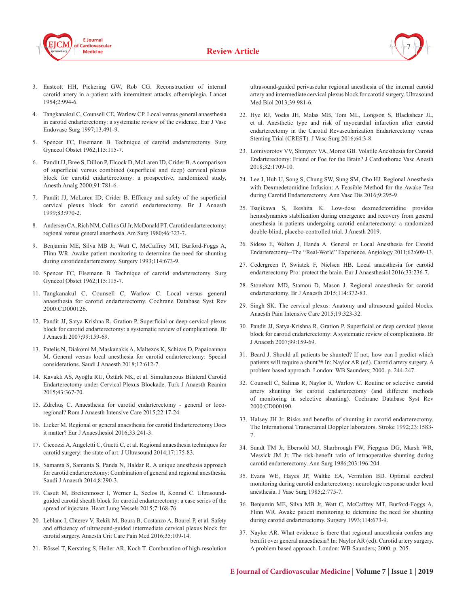



- 3. Eastcott HH, Pickering GW, Rob CG. Reconstruction of internal carotid artery in a patient with intermittent attacks ofhemiplegia. Lancet 1954;2:994-6.
- 4. Tangkanakul C, Counsell CE, Warlow CP. Local versus general anaesthesia in carotid endarterectomy: a systematic review of the evidence. Eur J Vasc Endovasc Surg 1997;13.491-9.
- 5. Spencer FC, Eısemann B. Technique of carotid endarterectomy. Surg Gynecol Obstet 1962;115:115-7.
- 6. Pandit JJ, Bree S, Dillon P, Elcock D, McLaren ID, Crider B. A comparison of superficial versus combined (superficial and deep) cervical plexus block for carotid endarterectomy: a prospective, randomized study, Anesth Analg 2000;91:781-6.
- 7. Pandit JJ, McLaren ID, Crider B. Efficacy and safety of the superficial cervical plexus block for carotid endarterectomy. Br J Anaesth 1999;83:970-2.
- 8. Andersen CA, Rich NM, Collins GJ Jr, McDonald PT. Carotid endarterectomy: regional versus general anesthesia. Am Surg 1980;46:323-7.
- 9. Benjamin ME, Silva MB Jr, Watt C, McCaffrey MT, Burford-Foggs A, Flinn WR. Awake patient monitoring to determine the need for shunting during carotidendarterectomy. Surgery 1993;114:673-9.
- 10. Spencer FC, Elsemann B. Technique of carotid endarterectomy. Surg Gynecol Obstet 1962;115:115-7.
- 11. Tangkanakul C, Counsell C, Warlow C. Local versus general anaesthesia for carotid endarterectomy. Cochrane Database Syst Rev 2000:CD000126.
- 12. Pandit JJ, Satya-Krishna R, Gration P. Superficial or deep cervical plexus block for carotid endarterectomy: a systematic review of complications. Br J Anaesth 2007;99:159-69.
- 13. Patelis N, Diakomi M, Maskanakis A, Maltezos K, Schizas D, Papaioannou M. General versus local anesthesia for carotid endarterectomy: Special considerations. Saudi J Anaesth 2018;12:612-7.
- 14. Kavaklı AS, Ayoğlu RU, Öztürk NK, et al. Simultaneous Bilateral Carotid Endarterectomy under Cervical Plexus Blockade. Turk J Anaesth Reanim 2015;43:367-70.
- 15. Zdrehuş C. Anaesthesia for carotid endarterectomy general or locoregional? Rom J Anaesth Intensive Care 2015;22:17-24.
- 16. Licker M. Regional or general anaesthesia for carotid Endarterectomy Does it matter? Eur J Anaesthesiol 2016;33:241-3.
- 17. Ciccozzi A, Angeletti C, Guetti C, et al. Regional anaesthesia techniques for carotid surgery: the state of art. J Ultrasound 2014;17:175-83.
- 18. Samanta S, Samanta S, Panda N, Haldar R. A unique anesthesia approach for carotid endarterectomy: Combination of general and regional anesthesia. Saudi J Anaesth 2014;8:290-3.
- 19. Casutt M, Breitenmoser I, Werner L, Seelos R, Konrad C. Ultrasoundguided carotid sheath block for carotid endarterectomy: a case series of the spread of injectate. Heart Lung Vessels 2015;7:168-76.
- 20. Leblanc I, Chterev V, Rekik M, Boura B, Costanzo A, Bourel P, et al. Safety and efficiency of ultrasound-guided intermediate cervical plexus block for carotid surgery. Anaesth Crit Care Pain Med 2016;35:109-14.
- 21. Rössel T, Kerstring S, Heller AR, Koch T. Combınation of high-resolution

ultrasound-guided perivascular regional anesthesia of the internal carotid artery and intermediate cervical plexus block for carotid surgery. Ultrasound Med Biol 2013;39:981-6.

- 22. Hye RJ, Voeks JH, Malas MB, Tom ML, Longson S, Blackshear JL, et al. Anesthetic type and risk of myocardial infarction after carotid endarterectomy in the Carotid Revascularization Endarterectomy versus Stenting Trial (CREST). J Vasc Surg 2016;64:3-8.
- 23. Lomivorotov VV, Shmyrev VA, Moroz GB. Volatile Anesthesia for Carotid Endarterectomy: Friend or Foe for the Brain? J Cardiothorac Vasc Anesth 2018;32:1709-10.
- 24. Lee J, Huh U, Song S, Chung SW, Sung SM, Cho HJ. Regional Anesthesia with Dexmedetomidine Infusion: A Feasible Method for the Awake Test during Carotid Endarterectomy. Ann Vasc Dis 2016;9:295-9.
- 25. Tsujikawa S, Ikeshita K. Low-dose dexmedetomidine provides hemodynamics stabilization during emergence and recovery from general anesthesia in patients undergoing carotid endarterectomy: a randomized double-blind, placebo-controlled trial. J Anesth 2019.
- 26. Sideso E, Walton J, Handa A. General or Local Anesthesia for Carotid Endarterectomy--The ''Real-World'' Experience. Angiology 2011;62:609-13.
- 27. Cedergreen P, Swiatek F, Nielsen HB. Local anaesthesia for carotid endarterectomy Pro: protect the brain. Eur J Anaesthesiol 2016;33:236-7.
- 28. Stoneham MD, Stamou D, Mason J. Regional anaesthesia for carotid endarterectomy. Br J Anaesth 2015;114:372-83.
- 29. Singh SK. The cervical plexus: Anatomy and ultrasound guided blocks. Anaesth Pain Intensive Care 2015;19:323-32.
- 30. Pandit JJ, Satya-Krishna R, Gration P. Superficial or deep cervical plexus block for carotid endarterectomy: A systematic review of complications. Br J Anaesth 2007;99:159-69.
- 31. Beard J. Should all patients be shunted? If not, how can I predict which patients will require a shunt?# In: Naylor AR (ed). Carotid artery surgery. A problem based approach. London: WB Saunders; 2000. p. 244-247.
- 32. Counsell C, Salinas R, Naylor R, Warlow C. Routine or selective carotid artery shunting for carotid endarterectomy (and different methods of monitoring in selective shunting). Cochrane Database Syst Rev 2000:CD000190.
- 33. Halsey JH Jr. Risks and benefits of shunting in carotid endarterectomy. The International Transcranial Doppler laborators. Stroke 1992;23:1583- 7.
- 34. Sundt TM Jr, Ebersold MJ, Sharbrough FW, Piepgras DG, Marsh WR, Messick JM Jr. The risk-benefit ratio of intraoperative shunting during carotid endarterectomy. Ann Surg 1986;203:196-204.
- 35. Evans WE, Hayes JP, Waltke EA, Vermilion BD. Optimal cerebral monitoring during carotid endarterectomy: neurologic response under local anesthesia. J Vasc Surg 1985;2:775-7.
- 36. Benjamin ME, Silva MB Jr, Watt C, McCaffrey MT, Burford-Foggs A, Flinn WR. Awake patient monitoring to determine the need for shunting during carotid endarterectomy. Surgery 1993;114:673-9.
- 37. Naylor AR. What evidence is there that regional anaesthesia confers any benifit over general anaesthesia? In: Naylor AR (ed). Carotid artery surgery. A problem based approach. London: WB Saunders; 2000. p. 205.